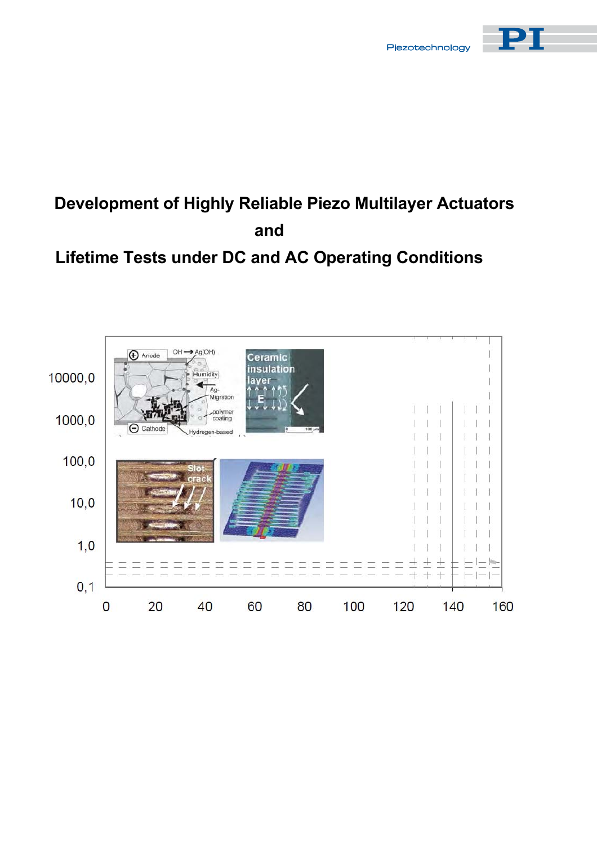



# **Development of Highly Reliable Piezo Multilayer Actuators and**

## **Lifetime Tests under DC and AC Operating Conditions**

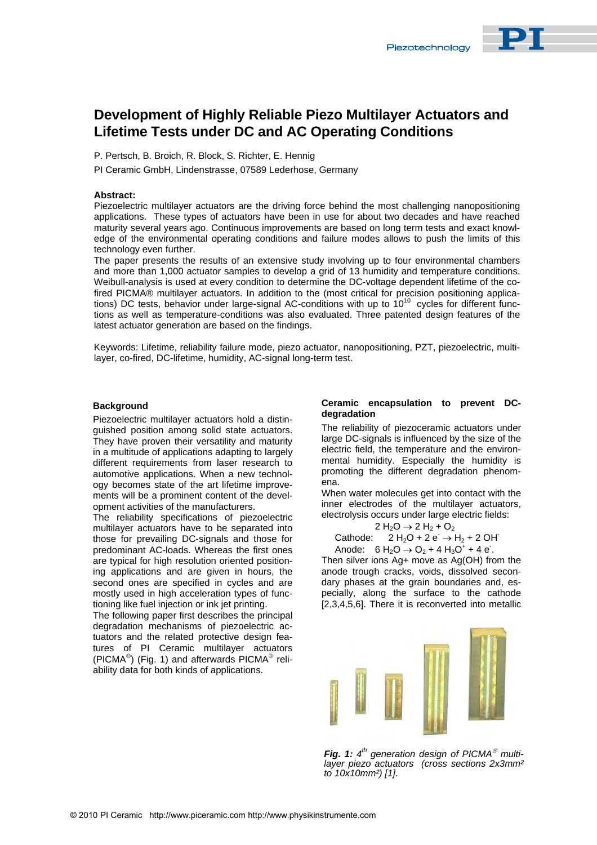### **Development of Highly Reliable Piezo Multilayer Actuators and Lifetime Tests under DC and AC Operating Conditions**

P. Pertsch, B. Broich, R. Block, S. Richter, E. Hennig

PI Ceramic GmbH, Lindenstrasse, 07589 Lederhose, Germany

#### **Abstract:**

Piezoelectric multilayer actuators are the driving force behind the most challenging nanopositioning applications. These types of actuators have been in use for about two decades and have reached maturity several years ago. Continuous improvements are based on long term tests and exact knowledge of the environmental operating conditions and failure modes allows to push the limits of this technology even further.

The paper presents the results of an extensive study involving up to four environmental chambers and more than 1,000 actuator samples to develop a grid of 13 humidity and temperature conditions. Weibull-analysis is used at every condition to determine the DC-voltage dependent lifetime of the cofired PICMA® m[ultilaye](http://www.piezo.ws)r actuators. In addition to the (most critical for precision positioning applications) DC tests, behavior under large-signal AC-conditions with up to 10<sup>10</sup> cycles for different functions as well as temperature-conditions was also evaluated. Three patented design features of the latest actuator generation are based on the findings.

Keywords: Lifetime, reliability failure mode, piezo actuator, nanopositioning, PZT, piezoelectric, multilayer, co-fired, DC-lifetime, humidity, AC-signal long-term test.

#### **Background**

Piezoelectric multilayer actuators hold a distinguished position among solid state actuators. They have proven their versatility and maturity in a multitude of applications adapting to largely different requirements from laser research to automotive applications. When a new technology becomes state of the art lifetime improvements will be a prominent content of the development activities of the manufacturers.

The reliability specifications of piezoelectric multilayer actuators have to be separated into those for prevailing DC-signals and those for predominant AC-loads. Whereas the first ones are typical for high resolution oriented positioning applications and are given in hours, the second ones are specified in cycles and are mostly used in high acceleration types of functioning like fuel injection or ink jet printing.

The following paper first describes the principal degradation mechanisms of piezoelectric actuators and the related protective design features of PI Ceramic multilayer actuators (PICMA $^{\circ}$ ) (Fig. 1) and afterwards PICMA $^{\circ}$  reliability data for both kinds of applications.

#### **Ceramic encapsulation to prevent DCdegradation**

The reliability of piezoceramic actuators under large DC-signals is influenced by the size of the electric field, the temperature and the environmental humidity. Especially the humidity is promoting the different degradation phenomena.

When water molecules get into contact with the inner electrodes of the multilayer actuators, electrolysis occurs under large electric fields:

$$
2 H_2O \to 2 H_2 + O_2
$$
  
Cathode: 2 H<sub>2</sub>O + 2 e  $\to H_2 + 2 O H$ 

Anode:  $6 H_2O \rightarrow O_2 + 4 H_3O^+ + 4 e$ . Then silver ions Ag+ move as Ag(OH) from the anode trough cracks, voids, dissolved secon[dary phases at the grain boundaries and, es](http://www.piceramic.de)pecially, along the surface to the cathode [2,3,4,5,6]. There it is reconverted into metallic



**Fig. 1:**  $4<sup>th</sup>$  generation design of PICMA<sup>®</sup> multi*layer piezo actuators (cross sections 2x3mm² to 10x10mm²) [1].*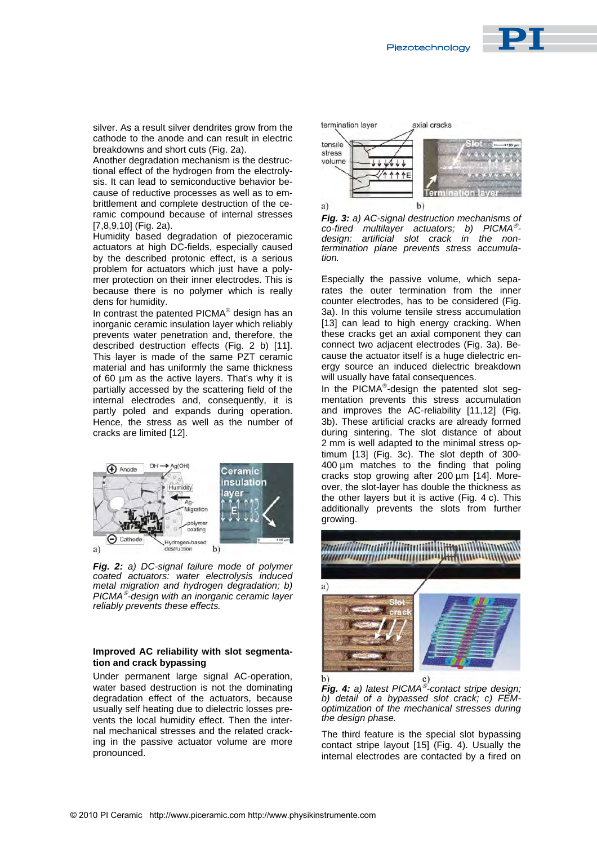

silver. As a result silver dendrites grow from the cathode to the anode and can result in electric breakdowns and short cuts (Fig. 2a).

Another degradation mechanism is the destructional effect of the hydrogen from the electrolysis. It can lead to semiconductive behavior because of reductive processes as well as to embrittlement and complete destruction of the ceramic compound because of internal stresses [7,8,9,10] (Fig. 2a).

Humidity based degradation of piezoceramic actuators at high DC-fields, especially caused by the described protonic effect, is a serious problem for actuators which just have a polymer protection on their inner electrodes. This is because there is no polymer which is really dens for humidity.

In contrast the patented PICMA<sup>®</sup> design has an inorganic ceramic insulation layer which reliably prevents water penetration and, therefore, the described destruction effects (Fig. 2 b) [11]. This layer is made of the same PZT ceramic material and has uniformly the same thickness of 60 µm as the active layers. That's why it is partially accessed by the scattering field of the internal electrodes and, consequently, it is partly poled and expands during operation. Hence, the stress as well as the number of cracks are limited [12].



*Fig. 2: a) DC-signal failure mode of polymer coated actuators: water electrolysis induced metal migration and hydrogen degradation; b) PICMA -design with an inorganic ceramic layer reliably prevents these effects.*

#### **Improved AC reliability with slot segmentation and crack bypassing**

Under permanent large signal AC-operation, water based destruction is not the dominating degradation effect of the actuators, because usually self heating due to dielectric losses prevents the local humidity effect. Then the internal mechanical stresses and the related cracking in the passive actuator volume are more pronounced.



*Fig. 3: a) AC-signal destruction mechanisms of co-fired multilayer actuators; b) PICMA design: artificial slot crack in the nontermination plane prevents stress accumulation.*

Especially the passive volume, which separates the outer termination from the inner counter electrodes, has to be considered (Fig. 3a). In this volume tensile stress accumulation [13] can lead to high energy cracking. When these cracks get an axial component they can connect two adjacent electrodes (Fig. 3a). Because the actuator itself is a huge dielectric energy source an induced dielectric breakdown will usually have fatal consequences.

In the PICMA $^{\circ}$ -design the patented slot segmentation prevents this stress accumulation and improves the AC-reliability [11,12] (Fig. 3b). These artificial cracks are already formed during sintering. The slot distance of about 2 mm is well adapted to the minimal stress optimum [13] (Fig. 3c). The slot depth of 300- 400 um matches to the finding that poling cracks stop growing after 200 µm [14]. Moreover, the slot-layer has double the thickness as the other layers but it is active (Fig. 4 c). This additionally prevents the slots from further growing.



*Fig. 4: a) latest PICMA -contact stripe design; b) detail of a bypassed slot crack; c) FEMoptimization of the mechanical stresses during the design phase.*

The third feature is the special slot bypassing contact stripe layout [15] (Fig. 4). Usually the internal electrodes are contacted by a fired on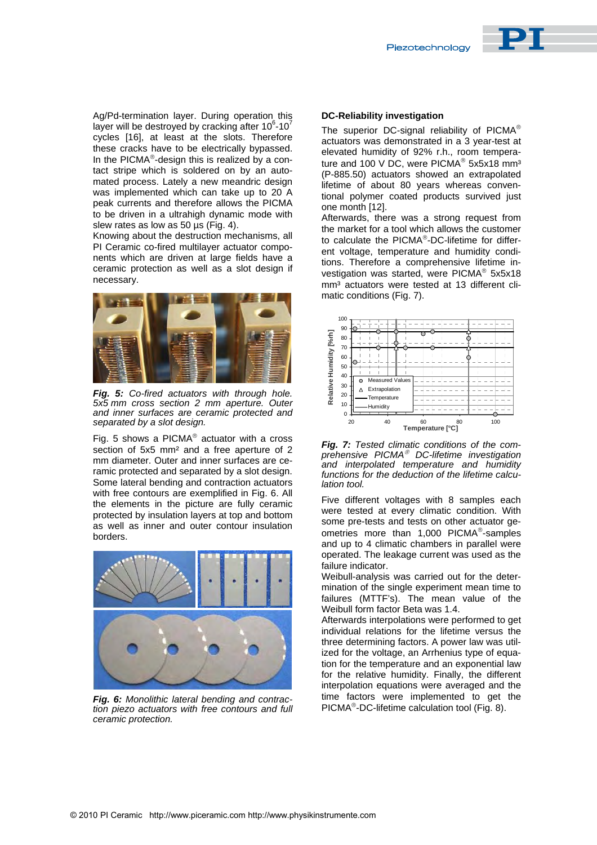

Ag/Pd-termination layer. During operation this layer will be destroyed by cracking after 10 $6$ -10 $7$ cycles [16], at least at the slots. Therefore these cracks have to be electrically bypassed. In the PICM $A^{\circledast}$ -design this is realized by a contact stripe which is soldered on by an automated process. Lately a new meandric design was implemented which can take up to 20 A peak currents and therefore allows the PICMA to be driven in a ultrahigh dynamic mode with slew rates as low as 50 us (Fig. 4).

Knowing about the destruction mechanisms, all PI Ceramic co-fired multilayer actuator components which are driven at large fields have a ceramic protection as well as a slot design if necessary.



*Fig. 5: Co-fired actuators with through hole. [5x5 mm cross](http://www.physikinstrumente.com/en/products/prdetail.php?&sortnr=100810) section 2 mm aperture. Outer and inner surfaces are ceramic protected and separated by a slot design.*

Fig. 5 shows a PICMA $^{\circ}$  actuator with a cross section of 5x5 mm<sup>2</sup> and a free aperture of 2 mm diameter. Outer and inner surfaces are ceramic protected and separated by a slot design. Some lateral bending and contraction actuators with free contours are exemplified in Fig. 6. All the elements in the picture are fully ceramic protected by insulation layers at top and bottom as well as inner and outer contour insulation borders.



*Fig. 6: Monolithic lateral bending and contraction piezo actuators with free contours and full ceramic protection.*

#### **DC-Reliability investigation**

The superior DC-signal reliability of  $PICMA^{\circledcirc}$ actuators was demonstrated in a 3 year-test at elevated humidity of 92% r.h., room temperature and 100 V DC, were PICMA<sup>®</sup> 5x5x18 mm<sup>3</sup> (P-885.50) actuators showed an extrapolated lifetime of about 80 years whereas conventional polymer coated products survived just one month [12].

Afterwards, there was a strong request from the market for a tool which allows the customer to calculate the  $PICMA^{\circ}$  $PICMA^{\circ}$  $PICMA^{\circ}$ -DC-lifetime for different voltage, temperature and humidity conditions. Therefore a comprehensive lifetime investigation was started, were  $PICMA^{\circ}$  5x5x18 mm<sup>3</sup> actuators were tested at 13 different climatic conditions (Fig. 7).



*Fig. 7: Tested climatic conditions of the comprehensive PICMA DC-lifetime investigation and interpolated temperature and humidity functions for the deduction of the lifetime calculation tool.*

Five different voltages with 8 samples each were tested at every climatic condition. With some pre-tests and tests on other actuator geometries more than  $1,000$  PICMA<sup>®</sup>-samples and up to 4 climatic chamber[s in parallel were](http://www.pi-usa.us/technotes.html)  operated. The leakage current was used as the failure indicator.

Weibull-analysis was carried out for the determination of the single experiment mean time to failures (MTTF's). The mean value of the Weibull form factor Beta was 1.4.

Afterwards interpolations were performed to get individual relations for the lifetime versus the three determining factors. A power law was utilized for the voltage, an Arrhenius type of equation for the temperature and an exponential law for the relative humidity. Finally, the different interpolation equations were averaged and the time factors were implemented to get the PICMA<sup>®</sup>-DC-lifetime calculation tool (Fig. 8).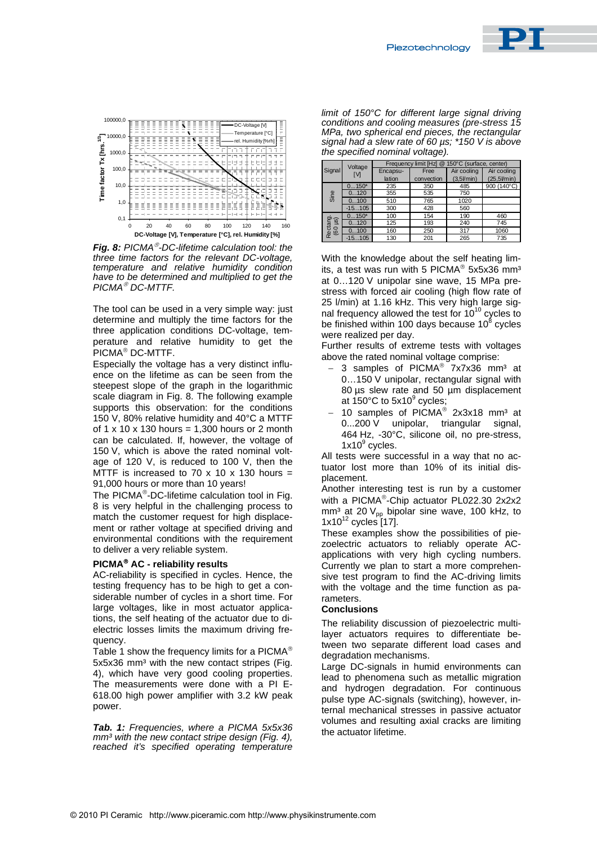



*Fig. 8: PICMA<sup>®</sup>-DC-lifetime calculation tool: the three time factors for the relevant DC-voltage, temperature and relative humidity condition have to be determined and multiplied to get the PICMA DC-MTTF.*

The tool can be used in a very simple way: just determine and multiply the time factors for the three application conditions DC-voltage, temperature and relative humidity to get the PICMA<sup>®</sup> DC-MTTF.

Especially the voltage has a very distinct influ[ence on the life](http://www.physikinstrumente.com/en/products/prdetail.php?&sortnr=100810)time as can be seen from the steepest slope of the graph in the logarithmic scale diagram in Fig. 8. The following example supports this observation: for the conditions 150 V, 80% relative humidity and 40°C a MTTF of  $1 \times 10 \times 130$  hours = 1,300 hours or 2 month can be calculated. If, however, the voltage of 150 V, which is above the rated nominal voltage of 120 V, is reduced to 100 V, then the MTTF is increased to 70 x 10 x 130 hours = 91,000 hours or more than 10 years!

The PICMA®-DC-lifetime calculation tool in Fig. 8 is very helpful in the challenging process to match the customer request for high displacement or rather voltage at specified driving and environmental conditions with the requirement to deliver a very reliable system.

#### **PICMA AC - reliability results**

AC-reliability is specified in cycles. Hence, the testing frequency has to be high to get a considerable number of cycles in a short time. For large voltages, like in most actuator applications, the self heating of the actuator due to dielectric losses limits the maximum driving frequency.

Table 1 show the frequency limits for a PICMA<sup>®</sup> 5x5x36 mm<sup>3</sup> with the new contact stripes (Fig. 4), which have very good cooling properties. The measurements were done with a PI E-618.00 high power amplifier with 3.2 kW peak power.

*Tab. 1: Frequencies, where a PICMA 5x5x36 mm³ with the new contact stripe design (Fig. 4), reached it's specified operating temperature* 

*limit of 150°C for different large signal driving conditions and cooling measures (pre-stress 15 MPa, two spherical end pieces, the rectangular signal had a slew rate of 60 µs; \*150 V is above the specified nominal voltage).*

| Signal              | Voltage<br>ſИ | limit [Hz] @ 150°C (surface, center)<br>Frequency |            |                    |                       |  |  |
|---------------------|---------------|---------------------------------------------------|------------|--------------------|-----------------------|--|--|
|                     |               | Encapsu-                                          | Free       | Air cooling        | Air cooling           |  |  |
|                     |               | lation                                            | convection | $(3,5$ $l$ min $)$ | $(25.5$ <i>Vm</i> in) |  |  |
| Sine                | $0150*$       | 235                                               | 350        | 485                | 900 (140°C)           |  |  |
|                     | 0120          | 355                                               | 535        | 750                |                       |  |  |
|                     | 0100          | 510                                               | 765        | 1020               |                       |  |  |
|                     | $-15105$      | 300                                               | 428        | 560                |                       |  |  |
| Rectang.<br>(60 µs) | $0150*$       | 100                                               | 154        | 190                | 460                   |  |  |
|                     | 0120          | 125                                               | 193        | 240                | 745                   |  |  |
|                     | 0100          | 160                                               | 250        | 317                | 1060                  |  |  |
|                     | $-15105$      | 130                                               | 201        | 265                | 735                   |  |  |

With the knowledge about the self heating limits, a test was run with 5 PICMA<sup>®</sup> 5x5x36 mm<sup>3</sup> at 0…120 V unipolar sine wave, 15 MPa prestress with forced air cooling (high flow rate of 25 l/min) at 1.16 kHz. This very high large signal frequency allowed the test for  $10^{10}$  cycles to be finished within 100 days because 10 $^8$  cycles were realized per day.

Further results of extreme tests with voltages above the rated nominal voltage comprise:

- 3 samples of PICMA<sup>®</sup>  $7x7x36$  mm<sup>3</sup> at 0…150 V unipolar, rectangular signal with 80 µs slew rate and 50 µm displacement at 150°C to 5x10 $^{\circ}$  cycles;
- 10 samples of PICMA<sup>®</sup> 2x3x18 mm<sup>3</sup> at 0...200 V unipolar, triangular signal, 464 Hz, -30°C, silicone oil, no pre-stress,  $1x10<sup>9</sup>$  cycles.

All tests were successful in a way that no actuator lost more than 10% of its initial displacement.

Another interesting test is run by a customer with a PICMA®-Chip actuator PL022.30 2x2x2 mm<sup>3</sup> at 20  $V_{\text{pp}}$  bipolar sine wave, 100 kHz, to  $1x10^{12}$  cycles [17].

These examples show the p[ossibilities of pie](http://www.pi-usa.us/technotes.html)zoelectric actuators to reliably operate ACapplications with very high cycling numbers. Currently we plan to start a more comprehensive test program to find the AC-driving limits with the voltage and the time function as parameters.

#### **Conclusions**

The reliability discussion of piezoelectric multilayer actuators requires to differentiate between two separate different load cases and degradation mechanisms.

Large DC-signals in humid environments can lead to phenomena such as metallic migration and hydrogen degradation. For continuous pulse type AC-signals (switching), however, internal mechanical stresses in passive actuator volumes and resulting axial cracks are limiting the actuator lifetime.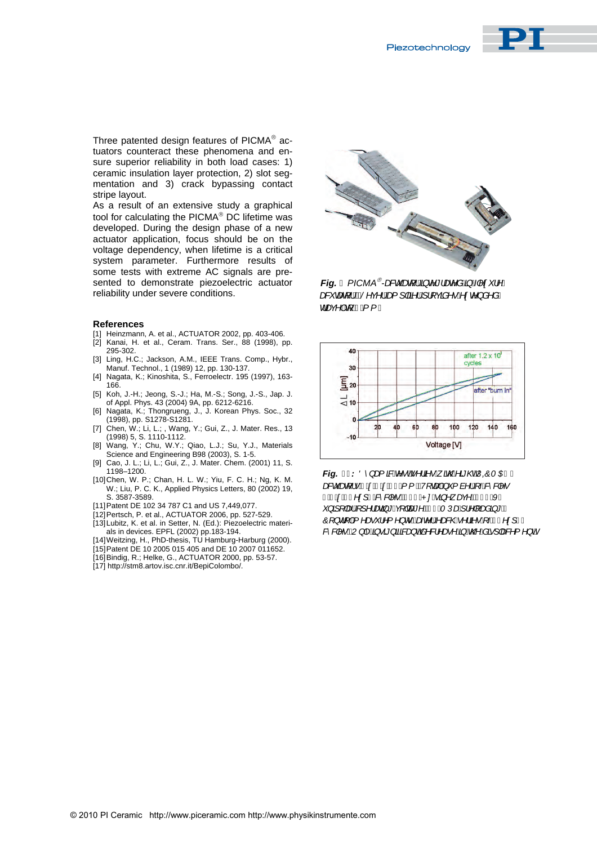

Three patented design features of  $PICMA<sup>®</sup>$  actuators counteract these phenomena and ensure superior reliability in both load cases: 1) ceramic insulation layer protection, 2) slot segmentation and 3) crack bypassing contact stripe layout.

As a result of an extensive study a graphical tool for calculating the  $PICMA^{\circledast}$  DC lifetime was developed. During the design phase of a new actuator application, focus should be on the voltage dependency, when lifetime is a critical system parameter. Furthermore results of some tests with extreme AC signals are presented to demonstrate piezoelectric actuator reliability under s[evere c](http://www.piezo.ws)onditions.

#### **References**

- [1] Heinzmann, A. et al., ACTUATOR 2002, pp. 403-406.
- [2] Kanai, H. et al., Ceram. Trans. Ser., 88 (1998), pp. 295-302.
- [3] Ling, H.C.; Jackson, A.M., IEEE Trans. Comp., Hybr., Manuf. Technol., 1 (1989) 12, pp. 130-137.
- [4] Nagata, K.; Kinoshita, S., Ferroelectr. 195 (1997), 163- 166.
- [5] Koh, J.-H.; Jeong, S.-J.; Ha, M.-S.; Song, J.-S., Jap. J. of Appl. Phys. 43 (2004) 9A, pp. 6212-6216.
- [6] Nagata, K.; Thongrueng, J., J. Korean Phys. Soc., 32 (1998), pp. S1278-S1281.
- [7] Chen, W.; Li, L.; , Wang, Y.; Gui, Z., J. Mater. Res., 13 (1998) 5, S. 1110-1112.
- [8] Wang, Y.; Chu, W.Y.; Qiao, L.J.; Su, Y.J., Materials Science and Engineering B98 (2003), S. 1-5.
- [9] Cao, J. L.; Li, L.; Gui, Z., J. Mater. Chem. (2001) 11, S. 1198–1200.
- [10] Chen, W. P.; Chan, H. L. W.; Yiu, F. C. H.; Ng, K. M. W.; Liu, P. C. K., Applied Physics Letters, 80 (2002) 19, S. 3587-3589.
- [11] Patent DE 102 34 787 C1 and US 7,449,077.
- [12] Pertsch, P. et al., ACTUATOR 2006, pp. 527-529.
- [13] Lubitz, K. et al. in Setter, N. (Ed.): Piezoelectric materials in devices. EPFL (2002) pp.183-194.
- [14] Weitzing, H., PhD-thesis, TU Hamburg-Harburg (2000).
- [15] Patent DE 10 2005 015 405 and DE 10 2007 011652.
- [16] Bindig, R.; Helke, G., ACTUATOR 2000, pp. 53-57.
- [17] http://stm8.artov.isc.cnr.it/BepiColombo/.



*Fig. - PICMA®-æ&c æt ¦Á§ c*^\*/æz^åÁ§ Á|^¢`/^Á *a& caf ¦Bi§^c^¦Ág I¦a`¦Á ¦[cã^•Á¢c^} å^åÁ dæ*¢^*|Á√{#A{{È* 



*Fig.*  $\%$ *: Ö* } at  $\%$ + $\phi$ + $\phi$ <sup>2</sup>  $\%$ + $\phi$   $\mathcal{R}\$   $\mathcal{R}\$   $\mathcal{R}\$   $\mathcal{R}\$   $\mathcal{R}$   $\mathcal{R}$   $\mathcal{R}$   $\mathcal{R}$ *DFWXDWRUV[[PP7RWDOQXPEHURIF\FOHV | ÈÁdéE^¢] JÁ*&^&|^•LÁFFÎÁP: Áã}^ aq:^<del>ÊÁE</del>€ÁKÁ <sup>x</sup>}*āl|æk*Ál/^¦æca}\*Ác||œc\*^ÉdFÍÁTÚæÁl¦^||æåa}\*ÉÁ  $\hat{O}$ [} d[|A<sup>t</sup> ^ a <sup>\*</sup> i^{ ^} o <del>Abec</del>^i A a & @ n i a • A + Fen d] JA *&^&|^•`BU}|^^\$}\*#}ã#&#}`O\$\^&|^*æ^^\$*{{\\$@^\$@`{}@&*^{^}@<sup>}</sup>